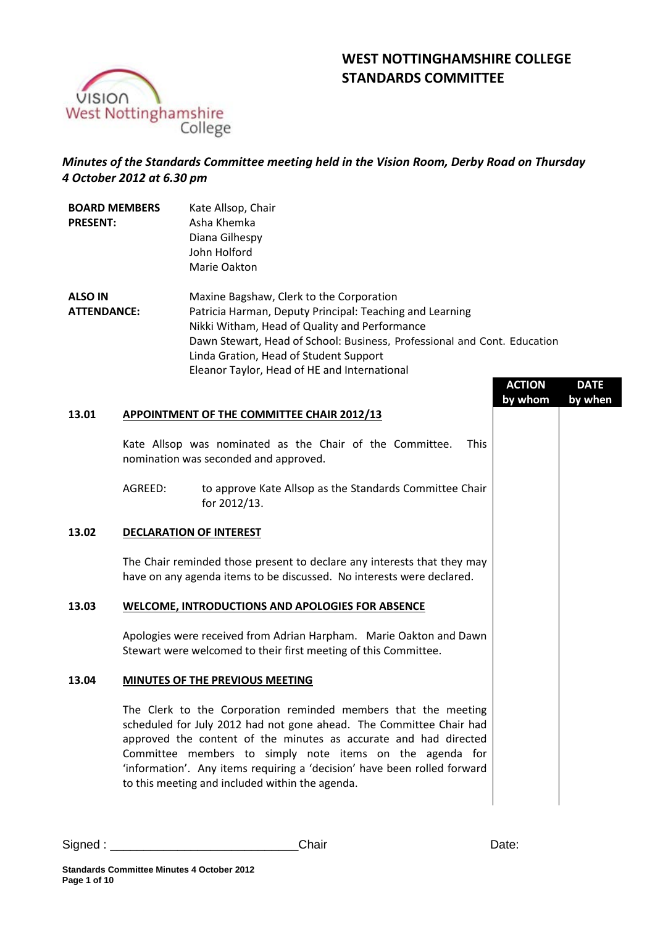# **WEST NOTTINGHAMSHIRE COLLEGE STANDARDS COMMITTEE**



# *Minutes of the Standards Committee meeting held in the Vision Room, Derby Road on Thursday 4 October 2012 at 6.30 pm*

| <b>BOARD MEMBERS</b><br><b>PRESENT:</b> |         | Kate Allsop, Chair<br>Asha Khemka<br>Diana Gilhespy<br>John Holford<br>Marie Oakton                                                                                                                                                                                                                                                                                                                  |  |
|-----------------------------------------|---------|------------------------------------------------------------------------------------------------------------------------------------------------------------------------------------------------------------------------------------------------------------------------------------------------------------------------------------------------------------------------------------------------------|--|
| <b>ALSO IN</b><br><b>ATTENDANCE:</b>    |         | Maxine Bagshaw, Clerk to the Corporation<br>Patricia Harman, Deputy Principal: Teaching and Learning<br>Nikki Witham, Head of Quality and Performance<br>Dawn Stewart, Head of School: Business, Professional and Cont. Education<br>Linda Gration, Head of Student Support<br>Eleanor Taylor, Head of HE and International<br><b>ACTION</b><br><b>DATE</b><br>by whom<br>by when                    |  |
| 13.01                                   |         | <b>APPOINTMENT OF THE COMMITTEE CHAIR 2012/13</b>                                                                                                                                                                                                                                                                                                                                                    |  |
|                                         |         | Kate Allsop was nominated as the Chair of the Committee.<br><b>This</b><br>nomination was seconded and approved.                                                                                                                                                                                                                                                                                     |  |
|                                         | AGREED: | to approve Kate Allsop as the Standards Committee Chair<br>for 2012/13.                                                                                                                                                                                                                                                                                                                              |  |
| 13.02                                   |         | <b>DECLARATION OF INTEREST</b>                                                                                                                                                                                                                                                                                                                                                                       |  |
|                                         |         | The Chair reminded those present to declare any interests that they may<br>have on any agenda items to be discussed. No interests were declared.                                                                                                                                                                                                                                                     |  |
| 13.03                                   |         | <b>WELCOME, INTRODUCTIONS AND APOLOGIES FOR ABSENCE</b>                                                                                                                                                                                                                                                                                                                                              |  |
|                                         |         | Apologies were received from Adrian Harpham. Marie Oakton and Dawn<br>Stewart were welcomed to their first meeting of this Committee.                                                                                                                                                                                                                                                                |  |
| 13.04                                   |         | MINUTES OF THE PREVIOUS MEETING                                                                                                                                                                                                                                                                                                                                                                      |  |
|                                         |         | The Clerk to the Corporation reminded members that the meeting<br>scheduled for July 2012 had not gone ahead. The Committee Chair had<br>approved the content of the minutes as accurate and had directed<br>Committee members to simply note items on the agenda for<br>'information'. Any items requiring a 'decision' have been rolled forward<br>to this meeting and included within the agenda. |  |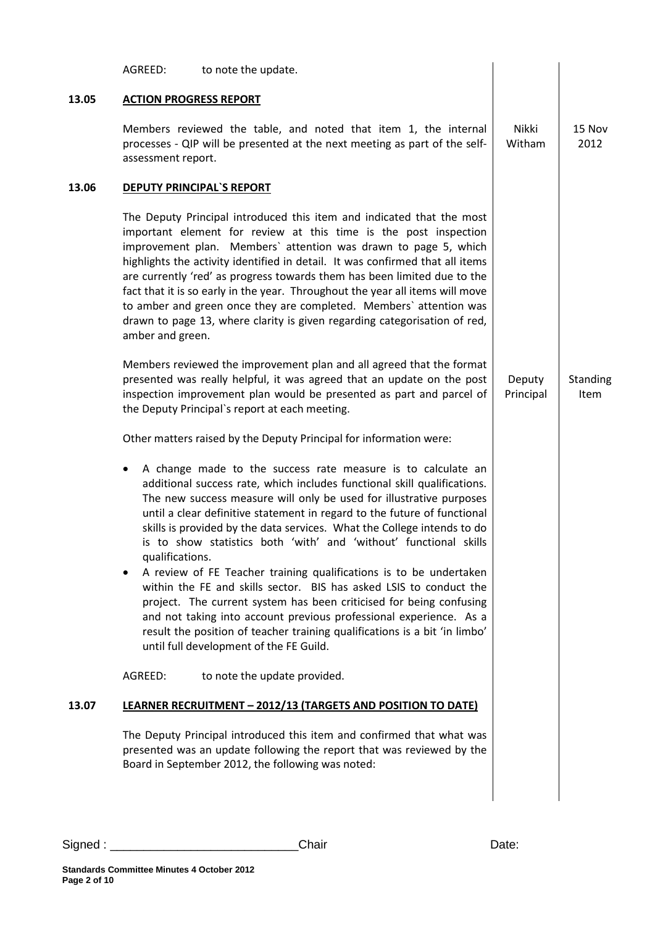|       | AGREED:<br>to note the update.                                                                                                                                                                                                                                                                                                                                                                                                                                                                                                                                                                                                                                                                                                                                                                                                                                                        |                     |                  |
|-------|---------------------------------------------------------------------------------------------------------------------------------------------------------------------------------------------------------------------------------------------------------------------------------------------------------------------------------------------------------------------------------------------------------------------------------------------------------------------------------------------------------------------------------------------------------------------------------------------------------------------------------------------------------------------------------------------------------------------------------------------------------------------------------------------------------------------------------------------------------------------------------------|---------------------|------------------|
| 13.05 | <b>ACTION PROGRESS REPORT</b>                                                                                                                                                                                                                                                                                                                                                                                                                                                                                                                                                                                                                                                                                                                                                                                                                                                         |                     |                  |
|       | Members reviewed the table, and noted that item 1, the internal<br>processes - QIP will be presented at the next meeting as part of the self-<br>assessment report.                                                                                                                                                                                                                                                                                                                                                                                                                                                                                                                                                                                                                                                                                                                   | Nikki<br>Witham     | 15 Nov<br>2012   |
| 13.06 | <b>DEPUTY PRINCIPAL'S REPORT</b>                                                                                                                                                                                                                                                                                                                                                                                                                                                                                                                                                                                                                                                                                                                                                                                                                                                      |                     |                  |
|       | The Deputy Principal introduced this item and indicated that the most<br>important element for review at this time is the post inspection<br>improvement plan. Members' attention was drawn to page 5, which<br>highlights the activity identified in detail. It was confirmed that all items<br>are currently 'red' as progress towards them has been limited due to the<br>fact that it is so early in the year. Throughout the year all items will move<br>to amber and green once they are completed. Members' attention was<br>drawn to page 13, where clarity is given regarding categorisation of red,<br>amber and green.                                                                                                                                                                                                                                                     |                     |                  |
|       | Members reviewed the improvement plan and all agreed that the format<br>presented was really helpful, it was agreed that an update on the post<br>inspection improvement plan would be presented as part and parcel of<br>the Deputy Principal's report at each meeting.                                                                                                                                                                                                                                                                                                                                                                                                                                                                                                                                                                                                              | Deputy<br>Principal | Standing<br>Item |
|       | Other matters raised by the Deputy Principal for information were:                                                                                                                                                                                                                                                                                                                                                                                                                                                                                                                                                                                                                                                                                                                                                                                                                    |                     |                  |
|       | A change made to the success rate measure is to calculate an<br>٠<br>additional success rate, which includes functional skill qualifications.<br>The new success measure will only be used for illustrative purposes<br>until a clear definitive statement in regard to the future of functional<br>skills is provided by the data services. What the College intends to do<br>is to show statistics both 'with' and 'without' functional skills<br>qualifications.<br>A review of FE Teacher training qualifications is to be undertaken<br>within the FE and skills sector. BIS has asked LSIS to conduct the<br>project. The current system has been criticised for being confusing<br>and not taking into account previous professional experience. As a<br>result the position of teacher training qualifications is a bit 'in limbo'<br>until full development of the FE Guild. |                     |                  |
|       | AGREED:<br>to note the update provided.                                                                                                                                                                                                                                                                                                                                                                                                                                                                                                                                                                                                                                                                                                                                                                                                                                               |                     |                  |
| 13.07 | <b>LEARNER RECRUITMENT - 2012/13 (TARGETS AND POSITION TO DATE)</b>                                                                                                                                                                                                                                                                                                                                                                                                                                                                                                                                                                                                                                                                                                                                                                                                                   |                     |                  |
|       | The Deputy Principal introduced this item and confirmed that what was<br>presented was an update following the report that was reviewed by the<br>Board in September 2012, the following was noted:                                                                                                                                                                                                                                                                                                                                                                                                                                                                                                                                                                                                                                                                                   |                     |                  |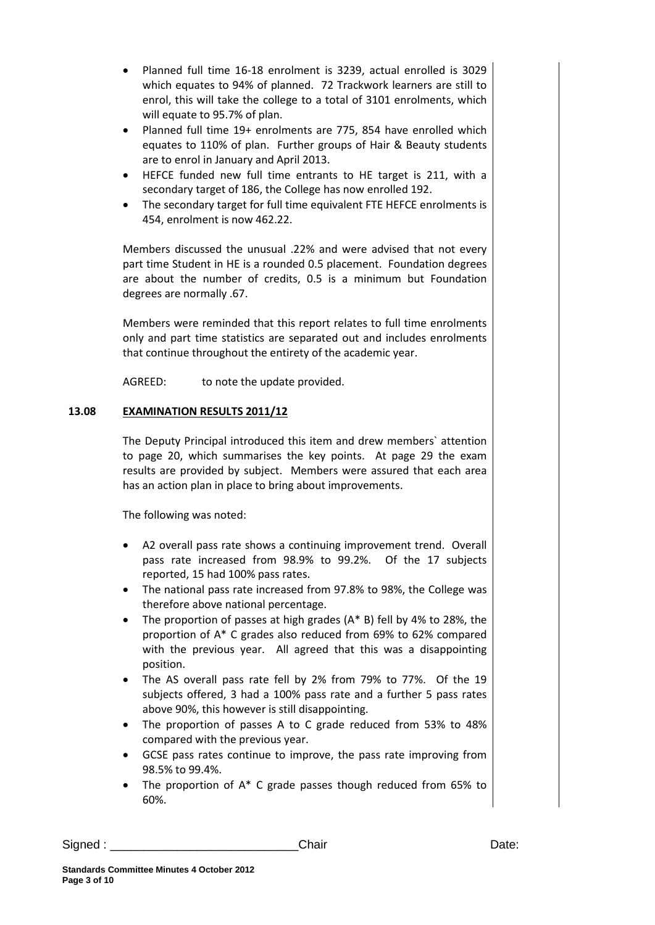- Planned full time 16-18 enrolment is 3239, actual enrolled is 3029 which equates to 94% of planned. 72 Trackwork learners are still to enrol, this will take the college to a total of 3101 enrolments, which will equate to 95.7% of plan.
- Planned full time 19+ enrolments are 775, 854 have enrolled which equates to 110% of plan. Further groups of Hair & Beauty students are to enrol in January and April 2013.
- HEFCE funded new full time entrants to HE target is 211, with a secondary target of 186, the College has now enrolled 192.
- The secondary target for full time equivalent FTE HEFCE enrolments is 454, enrolment is now 462.22.

Members discussed the unusual .22% and were advised that not every part time Student in HE is a rounded 0.5 placement. Foundation degrees are about the number of credits, 0.5 is a minimum but Foundation degrees are normally .67.

Members were reminded that this report relates to full time enrolments only and part time statistics are separated out and includes enrolments that continue throughout the entirety of the academic year.

AGREED: to note the update provided.

# **13.08 EXAMINATION RESULTS 2011/12**

The Deputy Principal introduced this item and drew members` attention to page 20, which summarises the key points. At page 29 the exam results are provided by subject. Members were assured that each area has an action plan in place to bring about improvements.

The following was noted:

- A2 overall pass rate shows a continuing improvement trend. Overall pass rate increased from 98.9% to 99.2%. Of the 17 subjects reported, 15 had 100% pass rates.
- The national pass rate increased from 97.8% to 98%, the College was therefore above national percentage.
- The proportion of passes at high grades  $(A^* B)$  fell by 4% to 28%, the proportion of A\* C grades also reduced from 69% to 62% compared with the previous year. All agreed that this was a disappointing position.
- The AS overall pass rate fell by 2% from 79% to 77%. Of the 19 subjects offered, 3 had a 100% pass rate and a further 5 pass rates above 90%, this however is still disappointing.
- The proportion of passes A to C grade reduced from 53% to 48% compared with the previous year.
- GCSE pass rates continue to improve, the pass rate improving from 98.5% to 99.4%.
- The proportion of  $A^*$  C grade passes though reduced from 65% to 60%.

```
Signed : ____________________________Chair Date:
```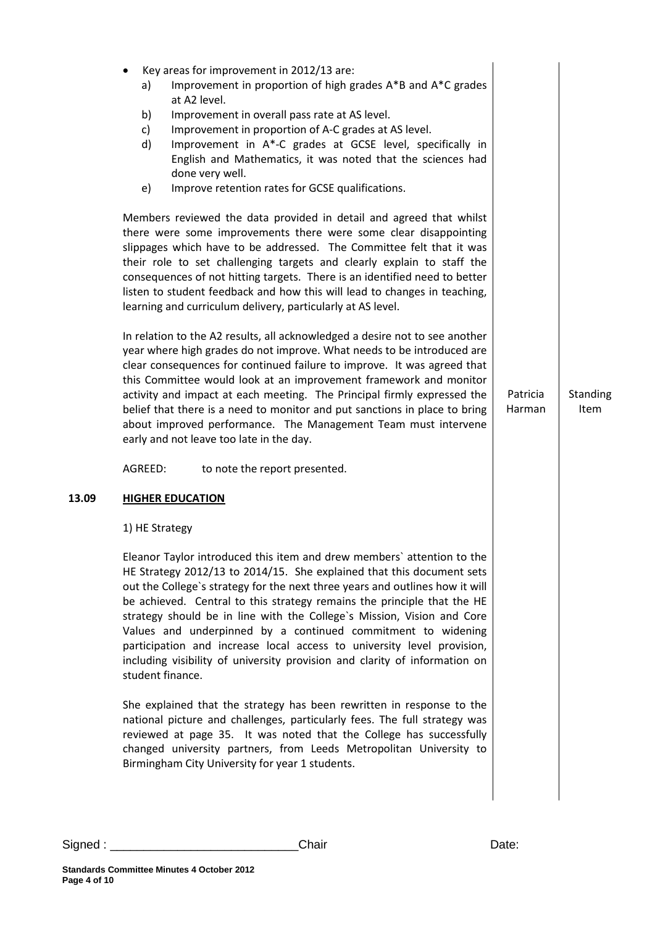| 13.09 | Key areas for improvement in 2012/13 are:<br>Improvement in proportion of high grades A*B and A*C grades<br>a)<br>at A2 level.<br>Improvement in overall pass rate at AS level.<br>b)<br>Improvement in proportion of A-C grades at AS level.<br>c)<br>Improvement in A*-C grades at GCSE level, specifically in<br>d)<br>English and Mathematics, it was noted that the sciences had<br>done very well.<br>Improve retention rates for GCSE qualifications.<br>e)<br>Members reviewed the data provided in detail and agreed that whilst<br>there were some improvements there were some clear disappointing<br>slippages which have to be addressed. The Committee felt that it was<br>their role to set challenging targets and clearly explain to staff the<br>consequences of not hitting targets. There is an identified need to better<br>listen to student feedback and how this will lead to changes in teaching,<br>learning and curriculum delivery, particularly at AS level.<br>In relation to the A2 results, all acknowledged a desire not to see another<br>year where high grades do not improve. What needs to be introduced are<br>clear consequences for continued failure to improve. It was agreed that<br>this Committee would look at an improvement framework and monitor<br>activity and impact at each meeting. The Principal firmly expressed the<br>belief that there is a need to monitor and put sanctions in place to bring<br>about improved performance. The Management Team must intervene<br>early and not leave too late in the day.<br>AGREED:<br>to note the report presented.<br><b>HIGHER EDUCATION</b><br>1) HE Strategy<br>Eleanor Taylor introduced this item and drew members' attention to the<br>HE Strategy 2012/13 to 2014/15. She explained that this document sets<br>out the College's strategy for the next three years and outlines how it will<br>be achieved. Central to this strategy remains the principle that the HE<br>strategy should be in line with the College's Mission, Vision and Core<br>Values and underpinned by a continued commitment to widening | Patricia<br>Harman | <b>Standing</b><br>Item |
|-------|----------------------------------------------------------------------------------------------------------------------------------------------------------------------------------------------------------------------------------------------------------------------------------------------------------------------------------------------------------------------------------------------------------------------------------------------------------------------------------------------------------------------------------------------------------------------------------------------------------------------------------------------------------------------------------------------------------------------------------------------------------------------------------------------------------------------------------------------------------------------------------------------------------------------------------------------------------------------------------------------------------------------------------------------------------------------------------------------------------------------------------------------------------------------------------------------------------------------------------------------------------------------------------------------------------------------------------------------------------------------------------------------------------------------------------------------------------------------------------------------------------------------------------------------------------------------------------------------------------------------------------------------------------------------------------------------------------------------------------------------------------------------------------------------------------------------------------------------------------------------------------------------------------------------------------------------------------------------------------------------------------------------------------------------------------------------------------------------------------------------------|--------------------|-------------------------|
|       | participation and increase local access to university level provision,<br>including visibility of university provision and clarity of information on<br>student finance.                                                                                                                                                                                                                                                                                                                                                                                                                                                                                                                                                                                                                                                                                                                                                                                                                                                                                                                                                                                                                                                                                                                                                                                                                                                                                                                                                                                                                                                                                                                                                                                                                                                                                                                                                                                                                                                                                                                                                   |                    |                         |
|       | She explained that the strategy has been rewritten in response to the<br>national picture and challenges, particularly fees. The full strategy was<br>reviewed at page 35. It was noted that the College has successfully<br>changed university partners, from Leeds Metropolitan University to<br>Birmingham City University for year 1 students.                                                                                                                                                                                                                                                                                                                                                                                                                                                                                                                                                                                                                                                                                                                                                                                                                                                                                                                                                                                                                                                                                                                                                                                                                                                                                                                                                                                                                                                                                                                                                                                                                                                                                                                                                                         |                    |                         |
|       |                                                                                                                                                                                                                                                                                                                                                                                                                                                                                                                                                                                                                                                                                                                                                                                                                                                                                                                                                                                                                                                                                                                                                                                                                                                                                                                                                                                                                                                                                                                                                                                                                                                                                                                                                                                                                                                                                                                                                                                                                                                                                                                            |                    |                         |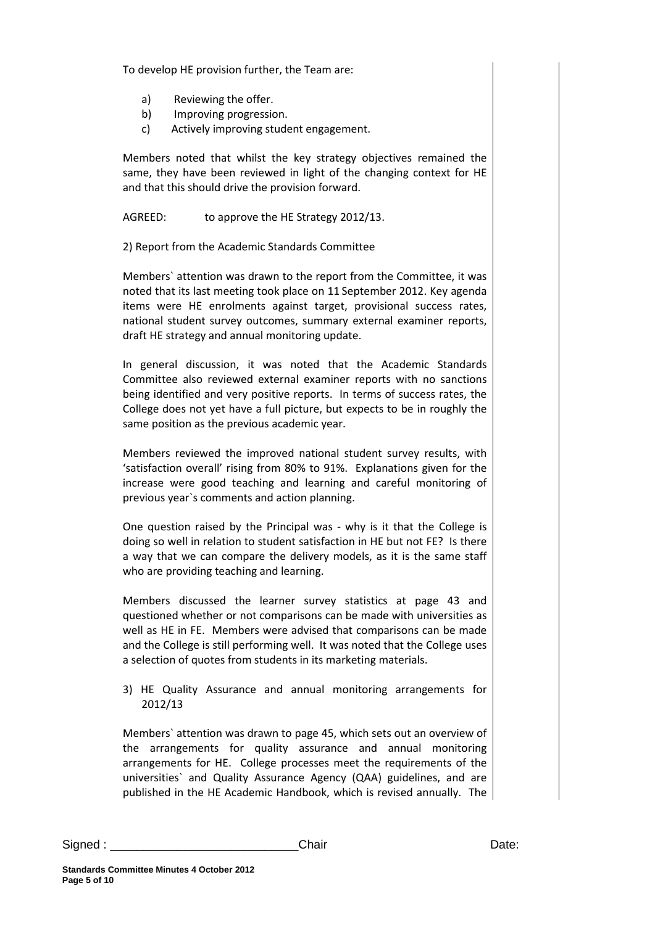To develop HE provision further, the Team are:

- a) Reviewing the offer.
- b) Improving progression.
- c) Actively improving student engagement.

Members noted that whilst the key strategy objectives remained the same, they have been reviewed in light of the changing context for HE and that this should drive the provision forward.

AGREED: to approve the HE Strategy 2012/13.

2) Report from the Academic Standards Committee

Members` attention was drawn to the report from the Committee, it was noted that its last meeting took place on 11 September 2012. Key agenda items were HE enrolments against target, provisional success rates, national student survey outcomes, summary external examiner reports, draft HE strategy and annual monitoring update.

In general discussion, it was noted that the Academic Standards Committee also reviewed external examiner reports with no sanctions being identified and very positive reports. In terms of success rates, the College does not yet have a full picture, but expects to be in roughly the same position as the previous academic year.

Members reviewed the improved national student survey results, with 'satisfaction overall' rising from 80% to 91%. Explanations given for the increase were good teaching and learning and careful monitoring of previous year`s comments and action planning.

One question raised by the Principal was - why is it that the College is doing so well in relation to student satisfaction in HE but not FE? Is there a way that we can compare the delivery models, as it is the same staff who are providing teaching and learning.

Members discussed the learner survey statistics at page 43 and questioned whether or not comparisons can be made with universities as well as HE in FE. Members were advised that comparisons can be made and the College is still performing well. It was noted that the College uses a selection of quotes from students in its marketing materials.

3) HE Quality Assurance and annual monitoring arrangements for 2012/13

Members` attention was drawn to page 45, which sets out an overview of the arrangements for quality assurance and annual monitoring arrangements for HE. College processes meet the requirements of the universities` and Quality Assurance Agency (QAA) guidelines, and are published in the HE Academic Handbook, which is revised annually. The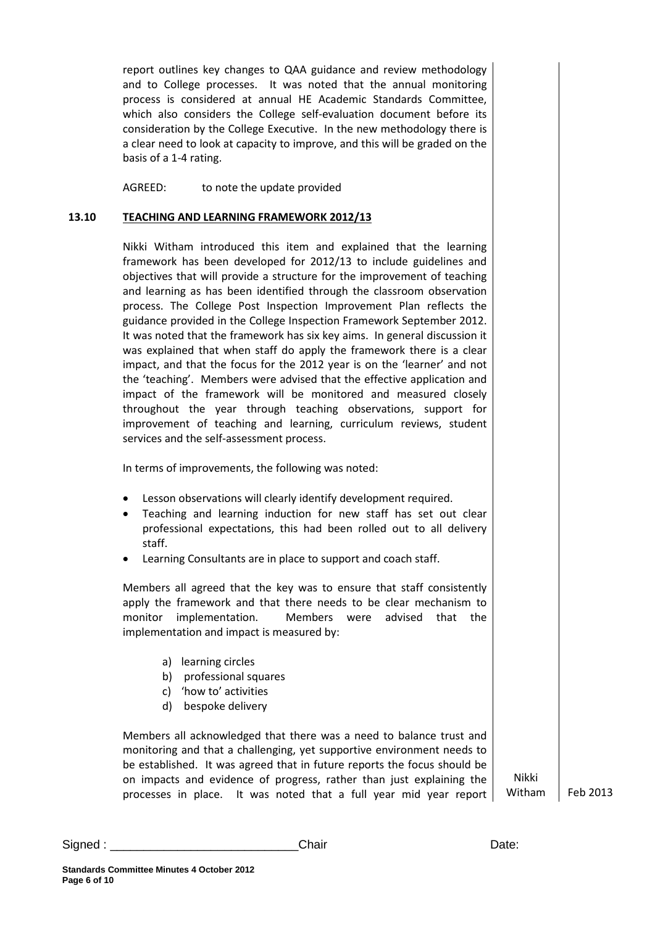report outlines key changes to QAA guidance and review methodology and to College processes. It was noted that the annual monitoring process is considered at annual HE Academic Standards Committee, which also considers the College self-evaluation document before its consideration by the College Executive. In the new methodology there is a clear need to look at capacity to improve, and this will be graded on the basis of a 1-4 rating.

AGREED: to note the update provided

#### **13.10 TEACHING AND LEARNING FRAMEWORK 2012/13**

Nikki Witham introduced this item and explained that the learning framework has been developed for 2012/13 to include guidelines and objectives that will provide a structure for the improvement of teaching and learning as has been identified through the classroom observation process. The College Post Inspection Improvement Plan reflects the guidance provided in the College Inspection Framework September 2012. It was noted that the framework has six key aims. In general discussion it was explained that when staff do apply the framework there is a clear impact, and that the focus for the 2012 year is on the 'learner' and not the 'teaching'. Members were advised that the effective application and impact of the framework will be monitored and measured closely throughout the year through teaching observations, support for improvement of teaching and learning, curriculum reviews, student services and the self-assessment process.

In terms of improvements, the following was noted:

- Lesson observations will clearly identify development required.
- Teaching and learning induction for new staff has set out clear professional expectations, this had been rolled out to all delivery staff.
- Learning Consultants are in place to support and coach staff.

Members all agreed that the key was to ensure that staff consistently apply the framework and that there needs to be clear mechanism to monitor implementation. Members were advised that the implementation and impact is measured by:

- a) learning circles
- b) professional squares
- c) 'how to' activities
- d) bespoke delivery

Members all acknowledged that there was a need to balance trust and monitoring and that a challenging, yet supportive environment needs to be established. It was agreed that in future reports the focus should be on impacts and evidence of progress, rather than just explaining the processes in place. It was noted that a full year mid year report

Nikki

Witham Feb 2013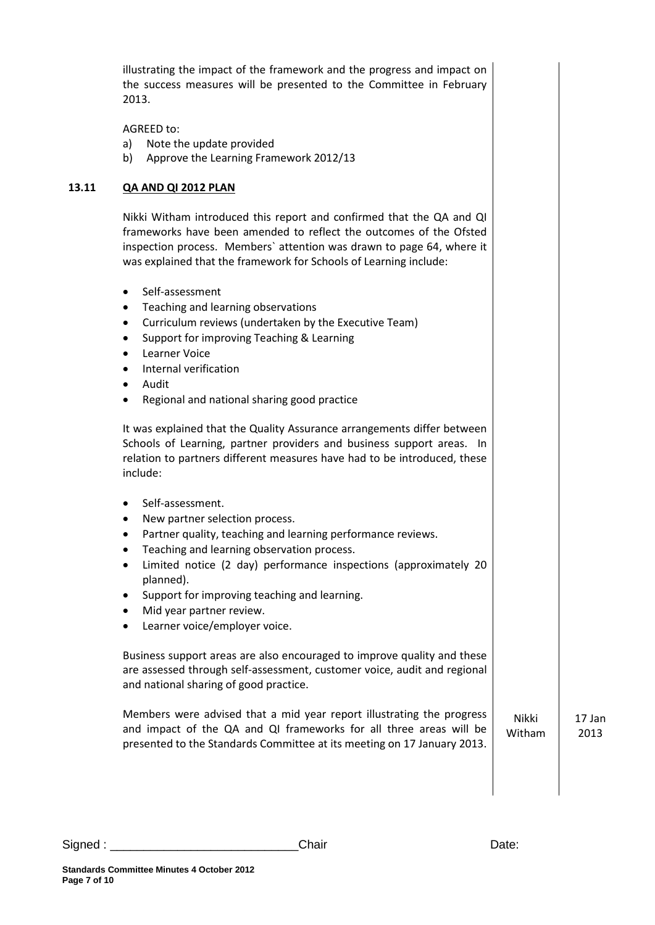|       | illustrating the impact of the framework and the progress and impact on<br>the success measures will be presented to the Committee in February<br>2013.                                                                                                                                                                                                       |                 |                |
|-------|---------------------------------------------------------------------------------------------------------------------------------------------------------------------------------------------------------------------------------------------------------------------------------------------------------------------------------------------------------------|-----------------|----------------|
|       | AGREED to:<br>Note the update provided<br>a)<br>Approve the Learning Framework 2012/13<br>b)                                                                                                                                                                                                                                                                  |                 |                |
| 13.11 | QA AND QI 2012 PLAN                                                                                                                                                                                                                                                                                                                                           |                 |                |
|       | Nikki Witham introduced this report and confirmed that the QA and QI<br>frameworks have been amended to reflect the outcomes of the Ofsted<br>inspection process. Members' attention was drawn to page 64, where it<br>was explained that the framework for Schools of Learning include:                                                                      |                 |                |
|       | Self-assessment<br>$\bullet$<br>Teaching and learning observations<br>٠<br>Curriculum reviews (undertaken by the Executive Team)<br>$\bullet$<br>Support for improving Teaching & Learning<br>$\bullet$<br>Learner Voice<br>Internal verification<br>$\bullet$<br>Audit<br>$\bullet$<br>Regional and national sharing good practice                           |                 |                |
|       | It was explained that the Quality Assurance arrangements differ between<br>Schools of Learning, partner providers and business support areas. In<br>relation to partners different measures have had to be introduced, these<br>include:                                                                                                                      |                 |                |
|       | Self-assessment.<br>New partner selection process.<br>Partner quality, teaching and learning performance reviews.<br>Teaching and learning observation process.<br>Limited notice (2 day) performance inspections (approximately 20<br>planned).<br>Support for improving teaching and learning.<br>Mid year partner review.<br>Learner voice/employer voice. |                 |                |
|       | Business support areas are also encouraged to improve quality and these<br>are assessed through self-assessment, customer voice, audit and regional<br>and national sharing of good practice.                                                                                                                                                                 |                 |                |
|       | Members were advised that a mid year report illustrating the progress<br>and impact of the QA and QI frameworks for all three areas will be<br>presented to the Standards Committee at its meeting on 17 January 2013.                                                                                                                                        | Nikki<br>Witham | 17 Jan<br>2013 |
|       |                                                                                                                                                                                                                                                                                                                                                               |                 |                |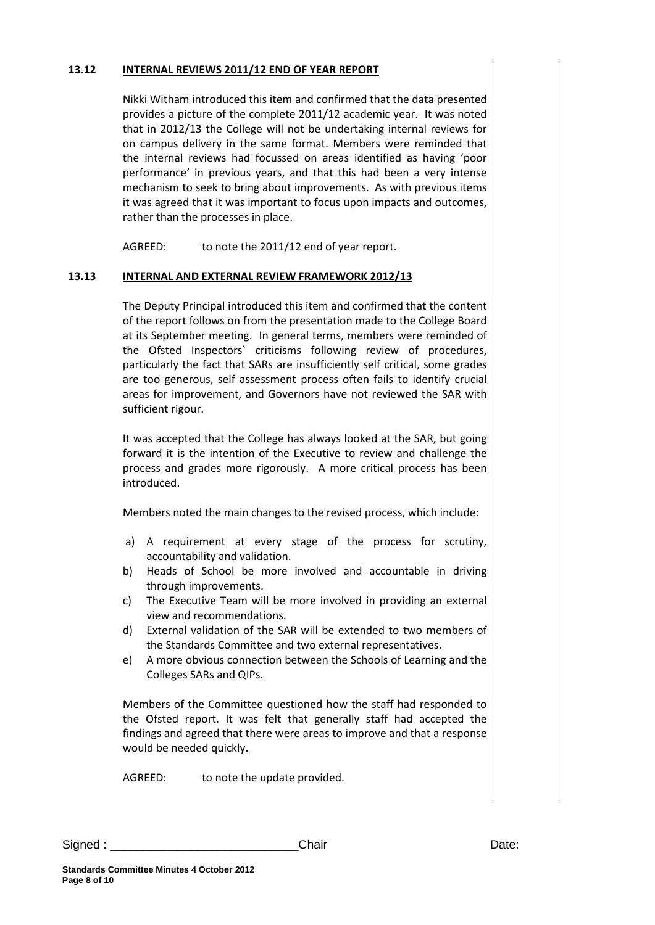#### **13.12 INTERNAL REVIEWS 2011/12 END OF YEAR REPORT**

Nikki Witham introduced this item and confirmed that the data presented provides a picture of the complete 2011/12 academic year. It was noted that in 2012/13 the College will not be undertaking internal reviews for on campus delivery in the same format. Members were reminded that the internal reviews had focussed on areas identified as having 'poor performance' in previous years, and that this had been a very intense mechanism to seek to bring about improvements. As with previous items it was agreed that it was important to focus upon impacts and outcomes, rather than the processes in place.

AGREED: to note the 2011/12 end of year report.

## **13.13 INTERNAL AND EXTERNAL REVIEW FRAMEWORK 2012/13**

The Deputy Principal introduced this item and confirmed that the content of the report follows on from the presentation made to the College Board at its September meeting. In general terms, members were reminded of the Ofsted Inspectors` criticisms following review of procedures, particularly the fact that SARs are insufficiently self critical, some grades are too generous, self assessment process often fails to identify crucial areas for improvement, and Governors have not reviewed the SAR with sufficient rigour.

It was accepted that the College has always looked at the SAR, but going forward it is the intention of the Executive to review and challenge the process and grades more rigorously. A more critical process has been introduced.

Members noted the main changes to the revised process, which include:

- a) A requirement at every stage of the process for scrutiny, accountability and validation.
- b) Heads of School be more involved and accountable in driving through improvements.
- c) The Executive Team will be more involved in providing an external view and recommendations.
- d) External validation of the SAR will be extended to two members of the Standards Committee and two external representatives.
- e) A more obvious connection between the Schools of Learning and the Colleges SARs and QIPs.

Members of the Committee questioned how the staff had responded to the Ofsted report. It was felt that generally staff had accepted the findings and agreed that there were areas to improve and that a response would be needed quickly.

AGREED: to note the update provided.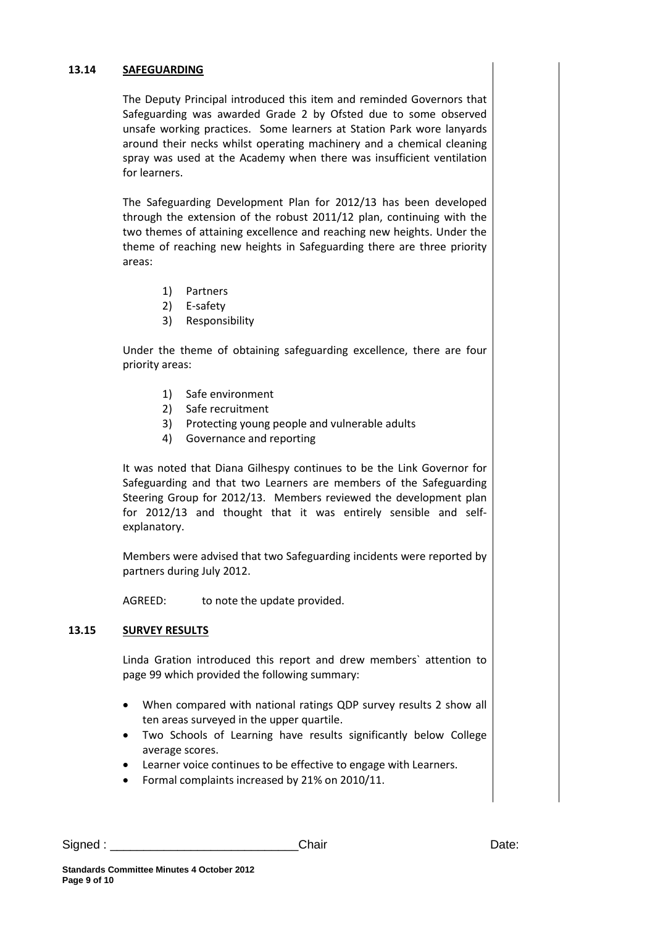#### **13.14 SAFEGUARDING**

The Deputy Principal introduced this item and reminded Governors that Safeguarding was awarded Grade 2 by Ofsted due to some observed unsafe working practices. Some learners at Station Park wore lanyards around their necks whilst operating machinery and a chemical cleaning spray was used at the Academy when there was insufficient ventilation for learners.

The Safeguarding Development Plan for 2012/13 has been developed through the extension of the robust 2011/12 plan, continuing with the two themes of attaining excellence and reaching new heights. Under the theme of reaching new heights in Safeguarding there are three priority areas:

- 1) Partners
- 2) E-safety
- 3) Responsibility

Under the theme of obtaining safeguarding excellence, there are four priority areas:

- 1) Safe environment
- 2) Safe recruitment
- 3) Protecting young people and vulnerable adults
- 4) Governance and reporting

It was noted that Diana Gilhespy continues to be the Link Governor for Safeguarding and that two Learners are members of the Safeguarding Steering Group for 2012/13. Members reviewed the development plan for 2012/13 and thought that it was entirely sensible and selfexplanatory.

Members were advised that two Safeguarding incidents were reported by partners during July 2012.

AGREED: to note the update provided.

#### **13.15 SURVEY RESULTS**

Linda Gration introduced this report and drew members` attention to page 99 which provided the following summary:

- When compared with national ratings QDP survey results 2 show all ten areas surveyed in the upper quartile.
- Two Schools of Learning have results significantly below College average scores.
- Learner voice continues to be effective to engage with Learners.
- Formal complaints increased by 21% on 2010/11.

Signed : \_\_\_\_\_\_\_\_\_\_\_\_\_\_\_\_\_\_\_\_\_\_\_\_\_\_\_\_Chair Date: